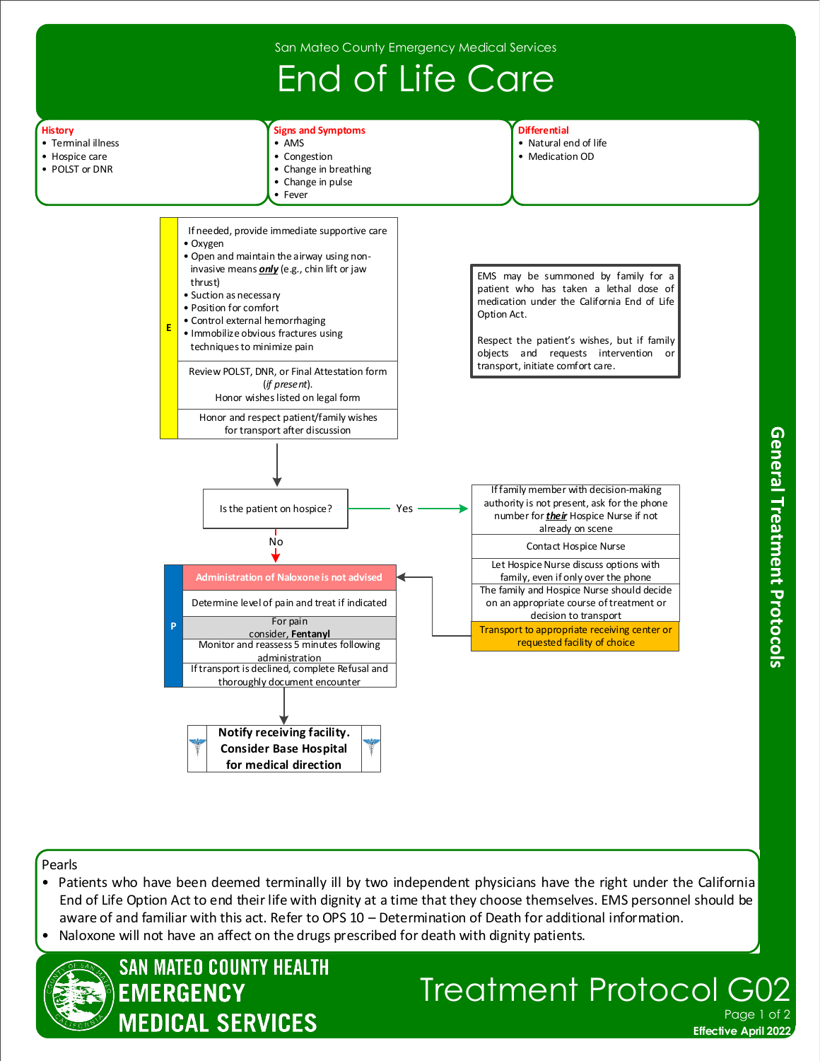

Pearls

- Patients who have been deemed terminally ill by two independent physicians have the right under the California End of Life Option Act to end their life with dignity at a time that they choose themselves. EMS personnel should be aware of and familiar with this act. Refer to OPS 10 – Determination of Death for additional information.
- Naloxone will not have an affect on the drugs prescribed for death with dignity patients.



## Treatment Protocol Page<sup>1</sup>

**Effective April 2022**